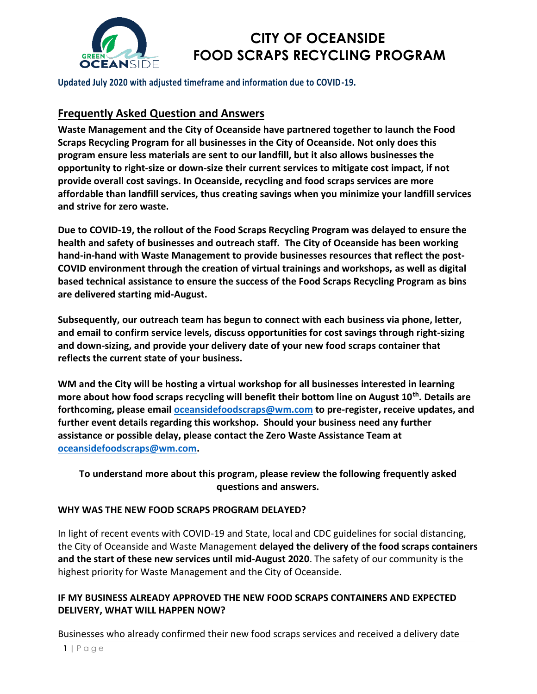

**Updated July 2020 with adjusted timeframe and information due to COVID-19.**

## **Frequently Asked Question and Answers**

**Waste Management and the City of Oceanside have partnered together to launch the Food Scraps Recycling Program for all businesses in the City of Oceanside. Not only does this program ensure less materials are sent to our landfill, but it also allows businesses the opportunity to right-size or down-size their current services to mitigate cost impact, if not provide overall cost savings. In Oceanside, recycling and food scraps services are more affordable than landfill services, thus creating savings when you minimize your landfill services and strive for zero waste.**

**Due to COVID-19, the rollout of the Food Scraps Recycling Program was delayed to ensure the health and safety of businesses and outreach staff. The City of Oceanside has been working hand-in-hand with Waste Management to provide businesses resources that reflect the post-COVID environment through the creation of virtual trainings and workshops, as well as digital based technical assistance to ensure the success of the Food Scraps Recycling Program as bins are delivered starting mid-August.**

**Subsequently, our outreach team has begun to connect with each business via phone, letter, and email to confirm service levels, discuss opportunities for cost savings through right-sizing and down-sizing, and provide your delivery date of your new food scraps container that reflects the current state of your business.** 

**WM and the City will be hosting a virtual workshop for all businesses interested in learning more about how food scraps recycling will benefit their bottom line on August 10th . Details are forthcoming, please email [oceansidefoodscraps@wm.com](mailto:oceansidefoodscraps@wm.com) to pre-register, receive updates, and further event details regarding this workshop. Should your business need any further assistance or possible delay, please contact the Zero Waste Assistance Team at [oceansidefoodscraps@wm.com.](mailto:oceansidefoodscraps@wm.com)** 

**To understand more about this program, please review the following frequently asked questions and answers.**

### **WHY WAS THE NEW FOOD SCRAPS PROGRAM DELAYED?**

In light of recent events with COVID-19 and State, local and CDC guidelines for social distancing, the City of Oceanside and Waste Management **delayed the delivery of the food scraps containers and the start of these new services until mid-August 2020**. The safety of our community is the highest priority for Waste Management and the City of Oceanside.

### **IF MY BUSINESS ALREADY APPROVED THE NEW FOOD SCRAPS CONTAINERS AND EXPECTED DELIVERY, WHAT WILL HAPPEN NOW?**

Businesses who already confirmed their new food scraps services and received a delivery date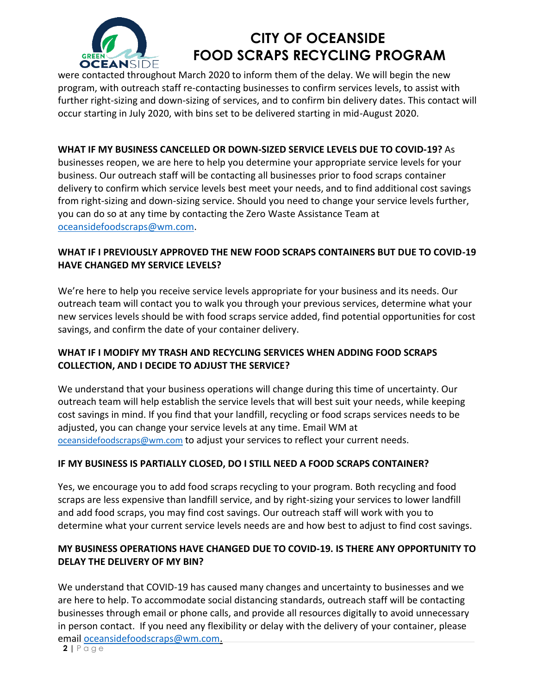

were contacted throughout March 2020 to inform them of the delay. We will begin the new program, with outreach staff re-contacting businesses to confirm services levels, to assist with further right-sizing and down-sizing of services, and to confirm bin delivery dates. This contact will occur starting in July 2020, with bins set to be delivered starting in mid-August 2020.

## **WHAT IF MY BUSINESS CANCELLED OR DOWN-SIZED SERVICE LEVELS DUE TO COVID-19?** As

businesses reopen, we are here to help you determine your appropriate service levels for your business. Our outreach staff will be contacting all businesses prior to food scraps container delivery to confirm which service levels best meet your needs, and to find additional cost savings from right-sizing and down-sizing service. Should you need to change your service levels further, you can do so at any time by contacting the Zero Waste Assistance Team at [oceansidefoodscraps@wm.com.](mailto:oceansidefoodscraps@wm.com)

## **WHAT IF I PREVIOUSLY APPROVED THE NEW FOOD SCRAPS CONTAINERS BUT DUE TO COVID-19 HAVE CHANGED MY SERVICE LEVELS?**

We're here to help you receive service levels appropriate for your business and its needs. Our outreach team will contact you to walk you through your previous services, determine what your new services levels should be with food scraps service added, find potential opportunities for cost savings, and confirm the date of your container delivery.

## **WHAT IF I MODIFY MY TRASH AND RECYCLING SERVICES WHEN ADDING FOOD SCRAPS COLLECTION, AND I DECIDE TO ADJUST THE SERVICE?**

We understand that your business operations will change during this time of uncertainty. Our outreach team will help establish the service levels that will best suit your needs, while keeping cost savings in mind. If you find that your landfill, recycling or food scraps services needs to be adjusted, you can change your service levels at any time. Email WM at [oceansidefoodscraps@wm.com](mailto:oceansidefoodscraps@wm.com) to adjust your services to reflect your current needs.

### **IF MY BUSINESS IS PARTIALLY CLOSED, DO I STILL NEED A FOOD SCRAPS CONTAINER?**

Yes, we encourage you to add food scraps recycling to your program. Both recycling and food scraps are less expensive than landfill service, and by right-sizing your services to lower landfill and add food scraps, you may find cost savings. Our outreach staff will work with you to determine what your current service levels needs are and how best to adjust to find cost savings.

## **MY BUSINESS OPERATIONS HAVE CHANGED DUE TO COVID-19. IS THERE ANY OPPORTUNITY TO DELAY THE DELIVERY OF MY BIN?**

We understand that COVID-19 has caused many changes and uncertainty to businesses and we are here to help. To accommodate social distancing standards, outreach staff will be contacting businesses through email or phone calls, and provide all resources digitally to avoid unnecessary in person contact. If you need any flexibility or delay with the delivery of your container, please email [oceansidefoodscraps@wm.com.](mailto:oceansidefoodscraps@wm.com)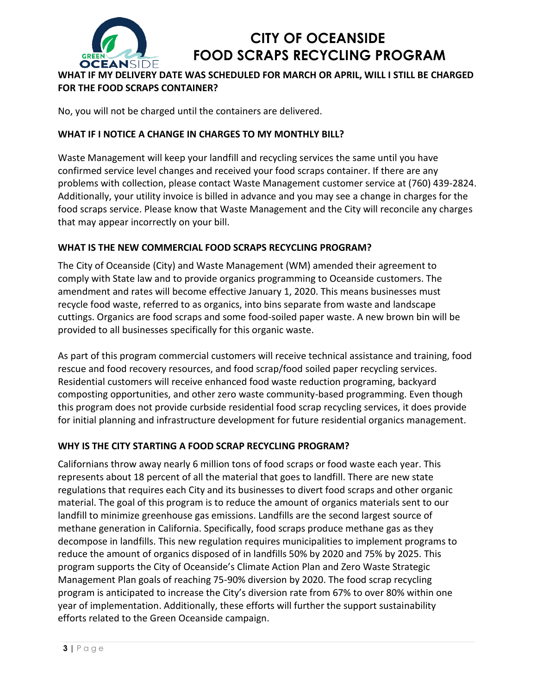

**WHAT IF MY DELIVERY DATE WAS SCHEDULED FOR MARCH OR APRIL, WILL I STILL BE CHARGED FOR THE FOOD SCRAPS CONTAINER?** 

No, you will not be charged until the containers are delivered.

## **WHAT IF I NOTICE A CHANGE IN CHARGES TO MY MONTHLY BILL?**

Waste Management will keep your landfill and recycling services the same until you have confirmed service level changes and received your food scraps container. If there are any problems with collection, please contact Waste Management customer service at (760) 439-2824. Additionally, your utility invoice is billed in advance and you may see a change in charges for the food scraps service. Please know that Waste Management and the City will reconcile any charges that may appear incorrectly on your bill.

## **WHAT IS THE NEW COMMERCIAL FOOD SCRAPS RECYCLING PROGRAM?**

The City of Oceanside (City) and Waste Management (WM) amended their agreement to comply with State law and to provide organics programming to Oceanside customers. The amendment and rates will become effective January 1, 2020. This means businesses must recycle food waste, referred to as organics, into bins separate from waste and landscape cuttings. Organics are food scraps and some food-soiled paper waste. A new brown bin will be provided to all businesses specifically for this organic waste.

As part of this program commercial customers will receive technical assistance and training, food rescue and food recovery resources, and food scrap/food soiled paper recycling services. Residential customers will receive enhanced food waste reduction programing, backyard composting opportunities, and other zero waste community-based programming. Even though this program does not provide curbside residential food scrap recycling services, it does provide for initial planning and infrastructure development for future residential organics management.

### **WHY IS THE CITY STARTING A FOOD SCRAP RECYCLING PROGRAM?**

Californians throw away nearly 6 million tons of food scraps or food waste each year. This represents about 18 percent of all the material that goes to landfill. There are new state regulations that requires each City and its businesses to divert food scraps and other organic material. The goal of this program is to reduce the amount of organics materials sent to our landfill to minimize greenhouse gas emissions. Landfills are the second largest source of methane generation in California. Specifically, food scraps produce methane gas as they decompose in landfills. This new regulation requires municipalities to implement programs to reduce the amount of organics disposed of in landfills 50% by 2020 and 75% by 2025. This program supports the City of Oceanside's Climate Action Plan and Zero Waste Strategic Management Plan goals of reaching 75-90% diversion by 2020. The food scrap recycling program is anticipated to increase the City's diversion rate from 67% to over 80% within one year of implementation. Additionally, these efforts will further the support sustainability efforts related to the Green Oceanside campaign.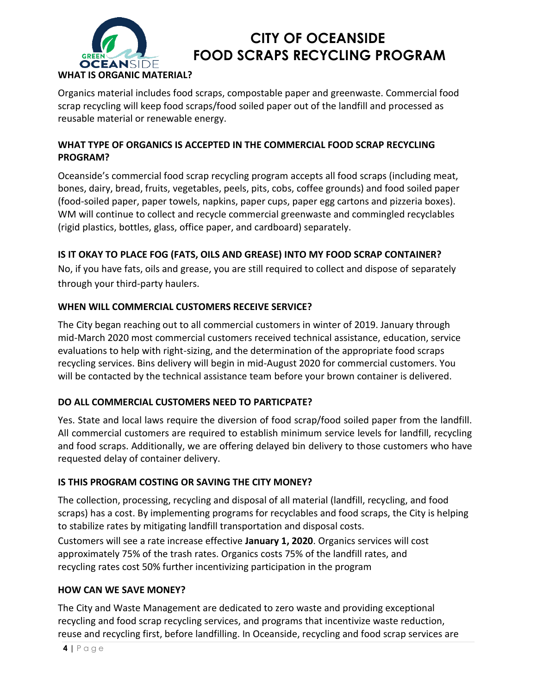

Organics material includes food scraps, compostable paper and greenwaste. Commercial food scrap recycling will keep food scraps/food soiled paper out of the landfill and processed as reusable material or renewable energy.

## **WHAT TYPE OF ORGANICS IS ACCEPTED IN THE COMMERCIAL FOOD SCRAP RECYCLING PROGRAM?**

Oceanside's commercial food scrap recycling program accepts all food scraps (including meat, bones, dairy, bread, fruits, vegetables, peels, pits, cobs, coffee grounds) and food soiled paper (food-soiled paper, paper towels, napkins, paper cups, paper egg cartons and pizzeria boxes). WM will continue to collect and recycle commercial greenwaste and commingled recyclables (rigid plastics, bottles, glass, office paper, and cardboard) separately.

## **IS IT OKAY TO PLACE FOG (FATS, OILS AND GREASE) INTO MY FOOD SCRAP CONTAINER?**

No, if you have fats, oils and grease, you are still required to collect and dispose of separately through your third-party haulers.

### **WHEN WILL COMMERCIAL CUSTOMERS RECEIVE SERVICE?**

The City began reaching out to all commercial customers in winter of 2019. January through mid-March 2020 most commercial customers received technical assistance, education, service evaluations to help with right-sizing, and the determination of the appropriate food scraps recycling services. Bins delivery will begin in mid-August 2020 for commercial customers. You will be contacted by the technical assistance team before your brown container is delivered.

## **DO ALL COMMERCIAL CUSTOMERS NEED TO PARTICPATE?**

Yes. State and local laws require the diversion of food scrap/food soiled paper from the landfill. All commercial customers are required to establish minimum service levels for landfill, recycling and food scraps. Additionally, we are offering delayed bin delivery to those customers who have requested delay of container delivery.

## **IS THIS PROGRAM COSTING OR SAVING THE CITY MONEY?**

The collection, processing, recycling and disposal of all material (landfill, recycling, and food scraps) has a cost. By implementing programs for recyclables and food scraps, the City is helping to stabilize rates by mitigating landfill transportation and disposal costs.

Customers will see a rate increase effective **January 1, 2020**. Organics services will cost approximately 75% of the trash rates. Organics costs 75% of the landfill rates, and recycling rates cost 50% further incentivizing participation in the program

### **HOW CAN WE SAVE MONEY?**

The City and Waste Management are dedicated to zero waste and providing exceptional recycling and food scrap recycling services, and programs that incentivize waste reduction, reuse and recycling first, before landfilling. In Oceanside, recycling and food scrap services are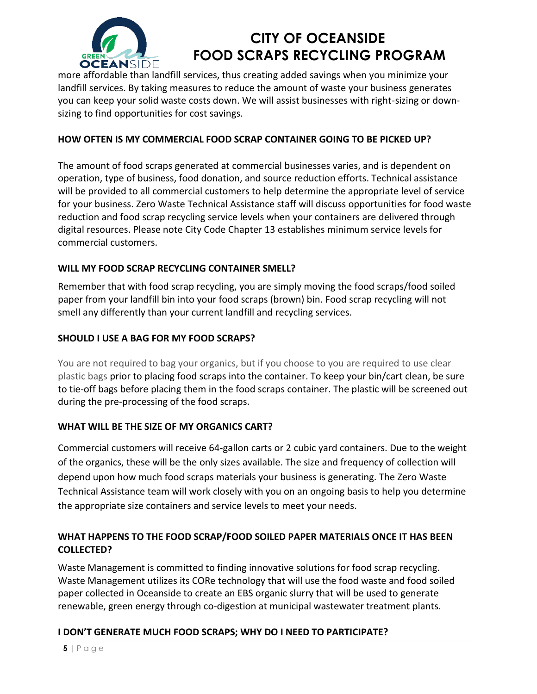

more affordable than landfill services, thus creating added savings when you minimize your landfill services. By taking measures to reduce the amount of waste your business generates you can keep your solid waste costs down. We will assist businesses with right-sizing or downsizing to find opportunities for cost savings.

## **HOW OFTEN IS MY COMMERCIAL FOOD SCRAP CONTAINER GOING TO BE PICKED UP?**

The amount of food scraps generated at commercial businesses varies, and is dependent on operation, type of business, food donation, and source reduction efforts. Technical assistance will be provided to all commercial customers to help determine the appropriate level of service for your business. Zero Waste Technical Assistance staff will discuss opportunities for food waste reduction and food scrap recycling service levels when your containers are delivered through digital resources. Please note City Code Chapter 13 establishes minimum service levels for commercial customers.

### **WILL MY FOOD SCRAP RECYCLING CONTAINER SMELL?**

Remember that with food scrap recycling, you are simply moving the food scraps/food soiled paper from your landfill bin into your food scraps (brown) bin. Food scrap recycling will not smell any differently than your current landfill and recycling services.

### **[SHOULD I USE A BAG FOR MY FOOD SCRAPS?](http://santaclaraca.gov/government/departments/public-works/environmental-programs/residential-garbage-recycling/residential-food-scrap-pilot-recycling-program/food-scraps-faqs#661)**

You are not required to bag your organics, but if you choose to you are required to use clear plastic bags prior to placing food scraps into the container. To keep your bin/cart clean, be sure to tie-off bags before placing them in the food scraps container. The plastic will be screened out during the pre-processing of the food scraps.

### **WHAT WILL BE THE SIZE OF MY ORGANICS CART?**

Commercial customers will receive 64-gallon carts or 2 cubic yard containers. Due to the weight of the organics, these will be the only sizes available. The size and frequency of collection will depend upon how much food scraps materials your business is generating. The Zero Waste Technical Assistance team will work closely with you on an ongoing basis to help you determine the appropriate size containers and service levels to meet your needs.

## **WHAT HAPPENS TO THE FOOD SCRAP/FOOD SOILED PAPER MATERIALS ONCE IT HAS BEEN COLLECTED?**

Waste Management is committed to finding innovative solutions for food scrap recycling. Waste Management utilizes its CORe technology that will use the food waste and food soiled paper collected in Oceanside to create an EBS organic slurry that will be used to generate renewable, green energy through co-digestion at municipal wastewater treatment plants.

## **[I DON'T GENERATE MUCH FOOD SCRAPS; WHY DO I NEED TO PARTIC](http://santaclaraca.gov/government/departments/public-works/environmental-programs/residential-garbage-recycling/residential-food-scrap-pilot-recycling-program/food-scraps-faqs#643)IPATE?**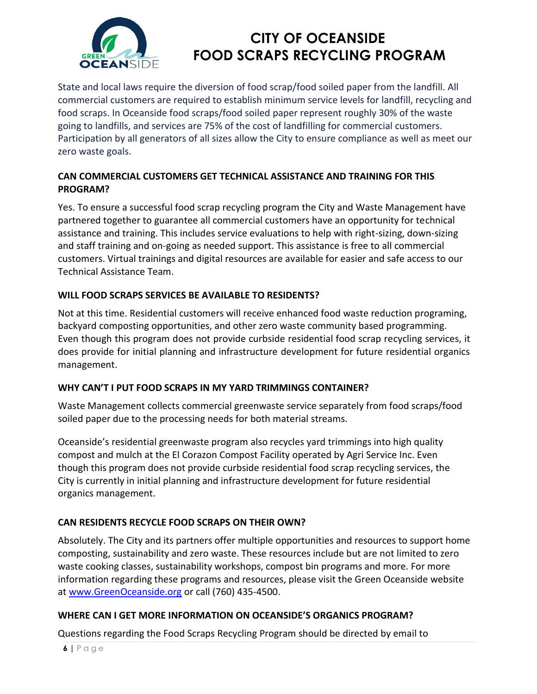

State and local laws require the diversion of food scrap/food soiled paper from the landfill. All commercial customers are required to establish minimum service levels for landfill, recycling and food scraps. In Oceanside food scraps/food soiled paper represent roughly 30% of the waste going to landfills, and services are 75% of the cost of landfilling for commercial customers. Participation by all generators of all sizes allow the City to ensure compliance as well as meet our zero waste goals.

## **CAN COMMERCIAL CUSTOMERS GET TECHNICAL ASSISTANCE AND TRAINING FOR THIS PROGRAM?**

Yes. To ensure a successful food scrap recycling program the City and Waste Management have partnered together to guarantee all commercial customers have an opportunity for technical assistance and training. This includes service evaluations to help with right-sizing, down-sizing and staff training and on-going as needed support. This assistance is free to all commercial customers. Virtual trainings and digital resources are available for easier and safe access to our Technical Assistance Team.

## **WILL FOOD SCRAPS SERVICES BE AVAILABLE TO RESIDENTS?**

Not at this time. Residential customers will receive enhanced food waste reduction programing, backyard composting opportunities, and other zero waste community based programming. Even though this program does not provide curbside residential food scrap recycling services, it does provide for initial planning and infrastructure development for future residential organics management.

### **WHY CAN'T I PUT FOOD SCRAPS IN MY YARD TRIMMINGS CONTAINER?**

Waste Management collects commercial greenwaste service separately from food scraps/food soiled paper due to the processing needs for both material streams.

Oceanside's residential greenwaste program also recycles yard trimmings into high quality compost and mulch at the El Corazon Compost Facility operated by Agri Service Inc. Even though this program does not provide curbside residential food scrap recycling services, the City is currently in initial planning and infrastructure development for future residential organics management.

## **CAN RESIDENTS RECYCLE FOOD SCRAPS ON THEIR OWN?**

Absolutely. The City and its partners offer multiple opportunities and resources to support home composting, sustainability and zero waste. These resources include but are not limited to zero waste cooking classes, sustainability workshops, compost bin programs and more. For more information regarding these programs and resources, please visit the Green Oceanside website at [www.GreenOceanside.org](http://www.greenoceanside.org/) or call (760) 435-4500.

## **WHERE CAN I GET MORE INFORMATION ON OCEANSIDE'S ORGANICS PROGRAM?**

Questions regarding the Food Scraps Recycling Program should be directed by email to